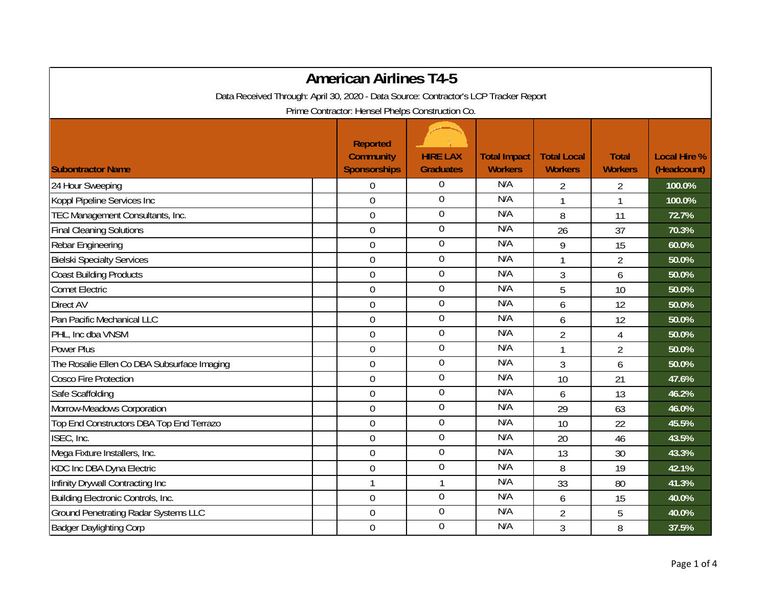|                                                                                      | <b>American Airlines T4-5</b>                              |                                     |                                       |                                      |                                |                                    |
|--------------------------------------------------------------------------------------|------------------------------------------------------------|-------------------------------------|---------------------------------------|--------------------------------------|--------------------------------|------------------------------------|
| Data Received Through: April 30, 2020 - Data Source: Contractor's LCP Tracker Report |                                                            |                                     |                                       |                                      |                                |                                    |
|                                                                                      | Prime Contractor: Hensel Phelps Construction Co.           |                                     |                                       |                                      |                                |                                    |
| <b>Subontractor Name</b>                                                             | <b>Reported</b><br><b>Community</b><br><b>Sponsorships</b> | <b>HIRE LAX</b><br><b>Graduates</b> | <b>Total Impact</b><br><b>Workers</b> | <b>Total Local</b><br><b>Workers</b> | <b>Total</b><br><b>Workers</b> | <b>Local Hire %</b><br>(Headcount) |
| 24 Hour Sweeping                                                                     | $\overline{0}$                                             | $\boldsymbol{0}$                    | N/A                                   | 2                                    | 2                              | 100.0%                             |
| Koppl Pipeline Services Inc                                                          | $\mathbf 0$                                                | $\overline{0}$                      | N/A                                   |                                      | 1                              | 100.0%                             |
| TEC Management Consultants, Inc.                                                     | $\overline{0}$                                             | $\boldsymbol{0}$                    | N/A                                   | 8                                    | 11                             | 72.7%                              |
| <b>Final Cleaning Solutions</b>                                                      | $\mathbf 0$                                                | $\mathbf 0$                         | N/A                                   | 26                                   | 37                             | 70.3%                              |
| Rebar Engineering                                                                    | $\boldsymbol{0}$                                           | $\boldsymbol{0}$                    | N/A                                   | 9                                    | 15                             | 60.0%                              |
| <b>Bielski Specialty Services</b>                                                    | $\mathbf 0$                                                | $\boldsymbol{0}$                    | N/A                                   | $\mathbf{1}$                         | $\overline{2}$                 | 50.0%                              |
| <b>Coast Building Products</b>                                                       | $\mathbf 0$                                                | $\mathbf 0$                         | N/A                                   | 3                                    | 6                              | 50.0%                              |
| <b>Comet Electric</b>                                                                | $\overline{0}$                                             | $\mathbf 0$                         | N/A                                   | 5                                    | 10                             | 50.0%                              |
| Direct AV                                                                            | $\mathbf 0$                                                | $\boldsymbol{0}$                    | N/A                                   | 6                                    | 12                             | 50.0%                              |
| Pan Pacific Mechanical LLC                                                           | $\boldsymbol{0}$                                           | $\boldsymbol{0}$                    | N/A                                   | 6                                    | 12                             | 50.0%                              |
| PHL, Inc dba VNSM                                                                    | $\boldsymbol{0}$                                           | $\overline{0}$                      | N/A                                   | $\overline{2}$                       | $\overline{4}$                 | 50.0%                              |
| <b>Power Plus</b>                                                                    | $\mathbf 0$                                                | $\overline{0}$                      | N/A                                   | 1                                    | $\overline{2}$                 | 50.0%                              |
| The Rosalie Ellen Co DBA Subsurface Imaging                                          | $\mathbf 0$                                                | $\boldsymbol{0}$                    | N/A                                   | 3                                    | 6                              | 50.0%                              |
| <b>Cosco Fire Protection</b>                                                         | $\overline{0}$                                             | $\mathbf 0$                         | N/A                                   | 10                                   | 21                             | 47.6%                              |
| Safe Scaffolding                                                                     | $\mathbf 0$                                                | $\boldsymbol{0}$                    | N/A                                   | 6                                    | 13                             | 46.2%                              |
| Morrow-Meadows Corporation                                                           | $\boldsymbol{0}$                                           | $\boldsymbol{0}$                    | N/A                                   | 29                                   | 63                             | 46.0%                              |
| Top End Constructors DBA Top End Terrazo                                             | $\mathbf 0$                                                | $\boldsymbol{0}$                    | N/A                                   | 10                                   | 22                             | 45.5%                              |
| ISEC, Inc.                                                                           | $\mathbf 0$                                                | $\overline{0}$                      | N/A                                   | 20                                   | 46                             | 43.5%                              |
| Mega Fixture Installers, Inc.                                                        | $\mathbf 0$                                                | $\overline{0}$                      | N/A                                   | 13                                   | 30                             | 43.3%                              |
| KDC Inc DBA Dyna Electric                                                            | $\overline{0}$                                             | $\boldsymbol{0}$                    | N/A                                   | 8                                    | 19                             | 42.1%                              |
| Infinity Drywall Contracting Inc                                                     | $\mathbf{1}$                                               | $\mathbf{1}$                        | N/A                                   | 33                                   | 80                             | 41.3%                              |
| Building Electronic Controls, Inc.                                                   | $\mathbf 0$                                                | $\boldsymbol{0}$                    | N/A                                   | 6                                    | 15                             | 40.0%                              |
| <b>Ground Penetrating Radar Systems LLC</b>                                          | $\overline{0}$                                             | $\boldsymbol{0}$                    | N/A                                   | $\overline{2}$                       | 5                              | 40.0%                              |
| <b>Badger Daylighting Corp</b>                                                       | $\mathbf 0$                                                | $\overline{0}$                      | N/A                                   | 3                                    | 8                              | 37.5%                              |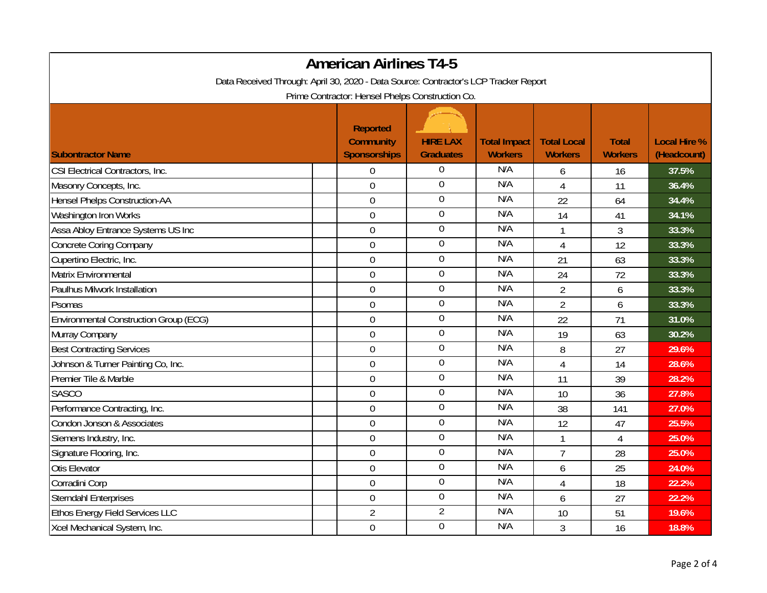| <b>American Airlines T4-5</b><br>Data Received Through: April 30, 2020 - Data Source: Contractor's LCP Tracker Report |                                                            |                                     |                                       |                                      |                                |                                    |  |                                                  |
|-----------------------------------------------------------------------------------------------------------------------|------------------------------------------------------------|-------------------------------------|---------------------------------------|--------------------------------------|--------------------------------|------------------------------------|--|--------------------------------------------------|
|                                                                                                                       |                                                            |                                     |                                       |                                      |                                |                                    |  | Prime Contractor: Hensel Phelps Construction Co. |
| <b>Subontractor Name</b>                                                                                              | <b>Reported</b><br><b>Community</b><br><b>Sponsorships</b> | <b>HIRE LAX</b><br><b>Graduates</b> | <b>Total Impact</b><br><b>Workers</b> | <b>Total Local</b><br><b>Workers</b> | <b>Total</b><br><b>Workers</b> | <b>Local Hire %</b><br>(Headcount) |  |                                                  |
| CSI Electrical Contractors, Inc.                                                                                      | $\boldsymbol{0}$                                           | 0                                   | N/A                                   | 6                                    | 16                             | 37.5%                              |  |                                                  |
| Masonry Concepts, Inc.                                                                                                | $\overline{0}$                                             | $\overline{0}$                      | N/A                                   | $\overline{4}$                       | 11                             | 36.4%                              |  |                                                  |
| Hensel Phelps Construction-AA                                                                                         | $\boldsymbol{0}$                                           | $\boldsymbol{0}$                    | N/A                                   | 22                                   | 64                             | 34.4%                              |  |                                                  |
| Washington Iron Works                                                                                                 | $\boldsymbol{0}$                                           | $\boldsymbol{0}$                    | N/A                                   | 14                                   | 41                             | 34.1%                              |  |                                                  |
| Assa Abloy Entrance Systems US Inc                                                                                    | $\boldsymbol{0}$                                           | $\boldsymbol{0}$                    | N/A                                   | 1                                    | 3                              | 33.3%                              |  |                                                  |
| <b>Concrete Coring Company</b>                                                                                        | $\mathbf 0$                                                | $\boldsymbol{0}$                    | N/A                                   | $\overline{4}$                       | 12                             | 33.3%                              |  |                                                  |
| Cupertino Electric, Inc.                                                                                              | $\boldsymbol{0}$                                           | $\boldsymbol{0}$                    | N/A                                   | 21                                   | 63                             | 33.3%                              |  |                                                  |
| Matrix Environmental                                                                                                  | $\boldsymbol{0}$                                           | $\boldsymbol{0}$                    | N/A                                   | 24                                   | 72                             | 33.3%                              |  |                                                  |
| Paulhus Milwork Installation                                                                                          | $\boldsymbol{0}$                                           | $\mathbf 0$                         | N/A                                   | $\overline{2}$                       | 6                              | 33.3%                              |  |                                                  |
| Psomas                                                                                                                | $\overline{0}$                                             | $\boldsymbol{0}$                    | N/A                                   | $\overline{2}$                       | 6                              | 33.3%                              |  |                                                  |
| <b>Environmental Construction Group (ECG)</b>                                                                         | $\boldsymbol{0}$                                           | $\boldsymbol{0}$                    | N/A                                   | 22                                   | 71                             | 31.0%                              |  |                                                  |
| Murray Company                                                                                                        | $\boldsymbol{0}$                                           | $\boldsymbol{0}$                    | N/A                                   | 19                                   | 63                             | 30.2%                              |  |                                                  |
| <b>Best Contracting Services</b>                                                                                      | $\mathbf 0$                                                | $\overline{0}$                      | N/A                                   | 8                                    | 27                             | 29.6%                              |  |                                                  |
| Johnson & Turner Painting Co, Inc.                                                                                    | $\boldsymbol{0}$                                           | $\boldsymbol{0}$                    | N/A                                   | $\overline{4}$                       | 14                             | 28.6%                              |  |                                                  |
| Premier Tile & Marble                                                                                                 | $\boldsymbol{0}$                                           | $\boldsymbol{0}$                    | N/A                                   | 11                                   | 39                             | 28.2%                              |  |                                                  |
| <b>SASCO</b>                                                                                                          | $\mathbf 0$                                                | $\boldsymbol{0}$                    | N/A                                   | 10                                   | 36                             | 27.8%                              |  |                                                  |
| Performance Contracting, Inc.                                                                                         | $\mathbf 0$                                                | $\mathbf 0$                         | N/A                                   | 38                                   | 141                            | 27.0%                              |  |                                                  |
| Condon Jonson & Associates                                                                                            | $\mathbf 0$                                                | $\boldsymbol{0}$                    | N/A                                   | 12                                   | 47                             | 25.5%                              |  |                                                  |
| Siemens Industry, Inc.                                                                                                | $\mathbf 0$                                                | $\mathbf 0$                         | N/A                                   |                                      | $\overline{4}$                 | 25.0%                              |  |                                                  |
| Signature Flooring, Inc.                                                                                              | $\boldsymbol{0}$                                           | $\mathbf 0$                         | N/A                                   | $\overline{7}$                       | 28                             | 25.0%                              |  |                                                  |
| <b>Otis Elevator</b>                                                                                                  | $\boldsymbol{0}$                                           | $\mathbf 0$                         | N/A                                   | 6                                    | 25                             | 24.0%                              |  |                                                  |
| Corradini Corp                                                                                                        | $\boldsymbol{0}$                                           | $\boldsymbol{0}$                    | N/A                                   | 4                                    | 18                             | 22.2%                              |  |                                                  |
| <b>Sterndahl Enterprises</b>                                                                                          | $\boldsymbol{0}$                                           | $\boldsymbol{0}$                    | N/A                                   | 6                                    | 27                             | 22.2%                              |  |                                                  |
| <b>Ethos Energy Field Services LLC</b>                                                                                | $\overline{2}$                                             | $\overline{2}$                      | N/A                                   | 10                                   | 51                             | 19.6%                              |  |                                                  |
| Xcel Mechanical System, Inc.                                                                                          | $\mathbf 0$                                                | $\mathbf 0$                         | N/A                                   | 3                                    | 16                             | 18.8%                              |  |                                                  |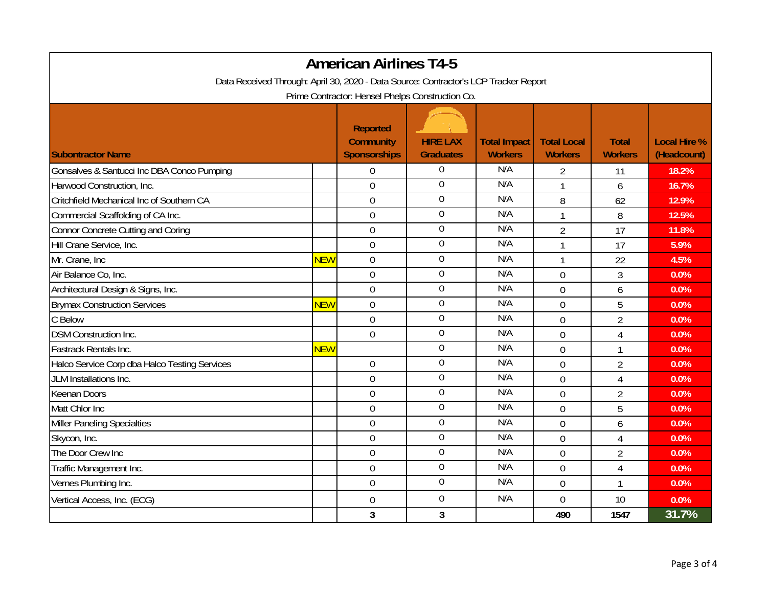|                                                                                      |            | <b>American Airlines T4-5</b>                              |                                     |                                       |                                      |                                |                                    |
|--------------------------------------------------------------------------------------|------------|------------------------------------------------------------|-------------------------------------|---------------------------------------|--------------------------------------|--------------------------------|------------------------------------|
| Data Received Through: April 30, 2020 - Data Source: Contractor's LCP Tracker Report |            |                                                            |                                     |                                       |                                      |                                |                                    |
|                                                                                      |            | Prime Contractor: Hensel Phelps Construction Co.           |                                     |                                       |                                      |                                |                                    |
| <b>Subontractor Name</b>                                                             |            | <b>Reported</b><br><b>Community</b><br><b>Sponsorships</b> | <b>HIRE LAX</b><br><b>Graduates</b> | <b>Total Impact</b><br><b>Workers</b> | <b>Total Local</b><br><b>Workers</b> | <b>Total</b><br><b>Workers</b> | <b>Local Hire %</b><br>(Headcount) |
| Gonsalves & Santucci Inc DBA Conco Pumping                                           |            | $\boldsymbol{0}$                                           | $\boldsymbol{0}$                    | N/A                                   | 2                                    | 11                             | 18.2%                              |
| Harwood Construction, Inc.                                                           |            | $\boldsymbol{0}$                                           | $\overline{0}$                      | N/A                                   | 1                                    | 6                              | 16.7%                              |
| Critchfield Mechanical Inc of Southern CA                                            |            | $\overline{0}$                                             | $\mathbf 0$                         | N/A                                   | 8                                    | 62                             | 12.9%                              |
| Commercial Scaffolding of CA Inc.                                                    |            | $\boldsymbol{0}$                                           | $\boldsymbol{0}$                    | N/A                                   | $\mathbf{1}$                         | 8                              | 12.5%                              |
| Connor Concrete Cutting and Coring                                                   |            | $\boldsymbol{0}$                                           | $\mathbf 0$                         | N/A                                   | $\overline{2}$                       | 17                             | 11.8%                              |
| Hill Crane Service, Inc.                                                             |            | $\overline{0}$                                             | $\overline{0}$                      | N/A                                   | 1                                    | 17                             | 5.9%                               |
| Mr. Crane, Inc.                                                                      | <b>NEW</b> | $\boldsymbol{0}$                                           | $\overline{0}$                      | N/A                                   | $\mathbf{1}$                         | 22                             | 4.5%                               |
| Air Balance Co, Inc.                                                                 |            | $\overline{0}$                                             | $\mathbf 0$                         | N/A                                   | $\overline{0}$                       | 3                              | 0.0%                               |
| Architectural Design & Signs, Inc.                                                   |            | $\overline{0}$                                             | $\mathbf 0$                         | N/A                                   | $\overline{0}$                       | 6                              | 0.0%                               |
| <b>Brymax Construction Services</b>                                                  | <b>NEW</b> | $\boldsymbol{0}$                                           | $\boldsymbol{0}$                    | N/A                                   | $\mathbf 0$                          | $\overline{5}$                 | 0.0%                               |
| C Below                                                                              |            | $\mathbf 0$                                                | $\mathbf 0$                         | N/A                                   | $\overline{0}$                       | $\overline{2}$                 | 0.0%                               |
| <b>DSM Construction Inc.</b>                                                         |            | $\overline{0}$                                             | $\overline{0}$                      | N/A                                   | $\overline{0}$                       | 4                              | 0.0%                               |
| Fastrack Rentals Inc.                                                                | <b>NEW</b> |                                                            | $\mathbf 0$                         | N/A                                   | $\Omega$                             | 1                              | 0.0%                               |
| Halco Service Corp dba Halco Testing Services                                        |            | $\boldsymbol{0}$                                           | $\mathbf 0$                         | N/A                                   | $\overline{0}$                       | $\overline{2}$                 | 0.0%                               |
| JLM Installations Inc.                                                               |            | $\boldsymbol{0}$                                           | $\overline{0}$                      | N/A                                   | $\overline{0}$                       | 4                              | 0.0%                               |
| <b>Keenan Doors</b>                                                                  |            | $\mathbf 0$                                                | $\boldsymbol{0}$                    | N/A                                   | $\overline{0}$                       | $\overline{2}$                 | 0.0%                               |
| Matt Chlor Inc                                                                       |            | $\mathbf 0$                                                | $\boldsymbol{0}$                    | N/A                                   | $\overline{0}$                       | 5                              | 0.0%                               |
| Miller Paneling Specialties                                                          |            | $\overline{0}$                                             | $\mathbf 0$                         | N/A                                   | $\theta$                             | 6                              | 0.0%                               |
| Skycon, Inc.                                                                         |            | $\mathbf 0$                                                | $\boldsymbol{0}$                    | N/A                                   | $\overline{0}$                       | 4                              | 0.0%                               |
| The Door Crew Inc                                                                    |            | $\boldsymbol{0}$                                           | $\mathbf 0$                         | N/A                                   | $\overline{0}$                       | $\overline{2}$                 | 0.0%                               |
| Traffic Management Inc.                                                              |            | $\overline{0}$                                             | $\mathbf 0$                         | N/A                                   | $\theta$                             | 4                              | 0.0%                               |
| Vernes Plumbing Inc.                                                                 |            | $\boldsymbol{0}$                                           | $\boldsymbol{0}$                    | N/A                                   | $\mathbf 0$                          | $\mathbf{1}$                   | 0.0%                               |
| Vertical Access, Inc. (ECG)                                                          |            | $\boldsymbol{0}$                                           | $\boldsymbol{0}$                    | N/A                                   | $\overline{0}$                       | 10                             | 0.0%                               |
|                                                                                      |            | $\mathbf{3}$                                               | $\mathbf{3}$                        |                                       | 490                                  | 1547                           | 31.7%                              |